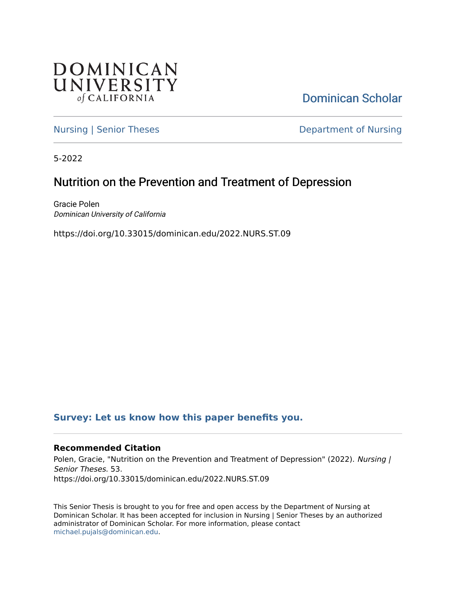

[Dominican Scholar](https://scholar.dominican.edu/) 

[Nursing | Senior Theses](https://scholar.dominican.edu/nursing-senior-theses) **Department of Nursing** 

5-2022

# Nutrition on the Prevention and Treatment of Depression

Gracie Polen Dominican University of California

https://doi.org/10.33015/dominican.edu/2022.NURS.ST.09

### **[Survey: Let us know how this paper benefits you.](https://dominican.libwizard.com/dominican-scholar-feedback)**

### **Recommended Citation**

Polen, Gracie, "Nutrition on the Prevention and Treatment of Depression" (2022). Nursing / Senior Theses. 53. https://doi.org/10.33015/dominican.edu/2022.NURS.ST.09

This Senior Thesis is brought to you for free and open access by the Department of Nursing at Dominican Scholar. It has been accepted for inclusion in Nursing | Senior Theses by an authorized administrator of Dominican Scholar. For more information, please contact [michael.pujals@dominican.edu.](mailto:michael.pujals@dominican.edu)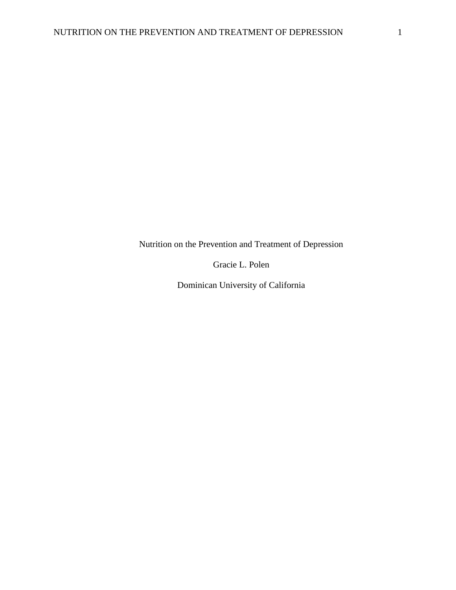Nutrition on the Prevention and Treatment of Depression

Gracie L. Polen

Dominican University of California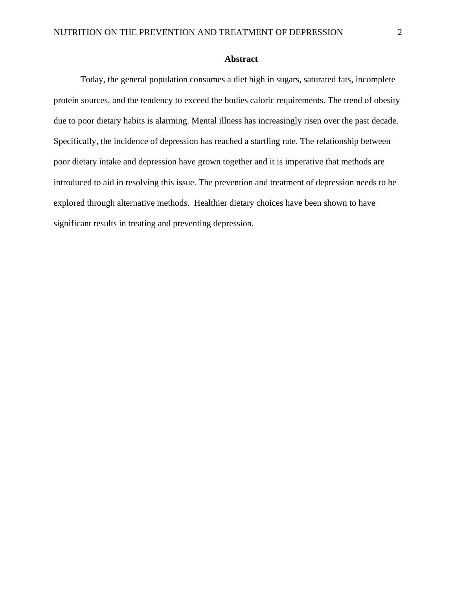### **Abstract**

Today, the general population consumes a diet high in sugars, saturated fats, incomplete protein sources, and the tendency to exceed the bodies caloric requirements. The trend of obesity due to poor dietary habits is alarming. Mental illness has increasingly risen over the past decade. Specifically, the incidence of depression has reached a startling rate. The relationship between poor dietary intake and depression have grown together and it is imperative that methods are introduced to aid in resolving this issue. The prevention and treatment of depression needs to be explored through alternative methods. Healthier dietary choices have been shown to have significant results in treating and preventing depression.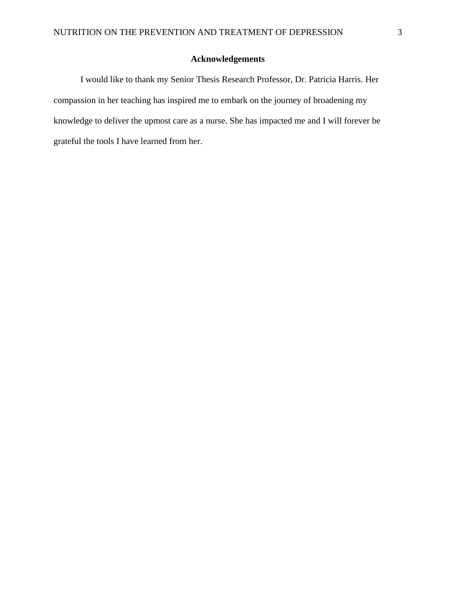### **Acknowledgements**

I would like to thank my Senior Thesis Research Professor, Dr. Patricia Harris. Her compassion in her teaching has inspired me to embark on the journey of broadening my knowledge to deliver the upmost care as a nurse. She has impacted me and I will forever be grateful the tools I have learned from her.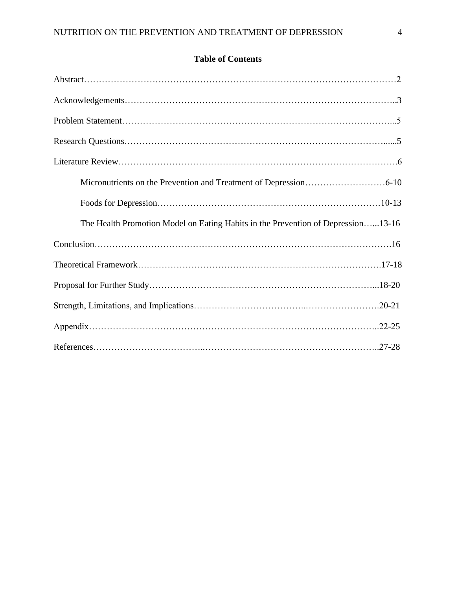# **Table of Contents**

| The Health Promotion Model on Eating Habits in the Prevention of Depression13-16 |  |
|----------------------------------------------------------------------------------|--|
| $Conclusion. \dots 16$                                                           |  |
|                                                                                  |  |
|                                                                                  |  |
|                                                                                  |  |
|                                                                                  |  |
|                                                                                  |  |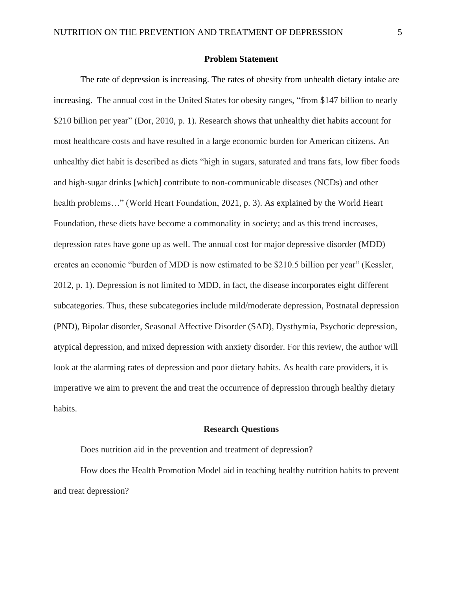#### **Problem Statement**

The rate of depression is increasing. The rates of obesity from unhealth dietary intake are increasing. The annual cost in the United States for obesity ranges, "from \$147 billion to nearly \$210 billion per year" (Dor, 2010, p. 1). Research shows that unhealthy diet habits account for most healthcare costs and have resulted in a large economic burden for American citizens. An unhealthy diet habit is described as diets "high in sugars, saturated and trans fats, low fiber foods and high-sugar drinks [which] contribute to non-communicable diseases (NCDs) and other health problems..." (World Heart Foundation, 2021, p. 3). As explained by the World Heart Foundation, these diets have become a commonality in society; and as this trend increases, depression rates have gone up as well. The annual cost for major depressive disorder (MDD) creates an economic "burden of MDD is now estimated to be \$210.5 billion per year" (Kessler, 2012, p. 1). Depression is not limited to MDD, in fact, the disease incorporates eight different subcategories. Thus, these subcategories include mild/moderate depression, Postnatal depression (PND), Bipolar disorder, Seasonal Affective Disorder (SAD), Dysthymia, Psychotic depression, atypical depression, and mixed depression with anxiety disorder. For this review, the author will look at the alarming rates of depression and poor dietary habits. As health care providers, it is imperative we aim to prevent the and treat the occurrence of depression through healthy dietary habits.

#### **Research Questions**

Does nutrition aid in the prevention and treatment of depression?

How does the Health Promotion Model aid in teaching healthy nutrition habits to prevent and treat depression?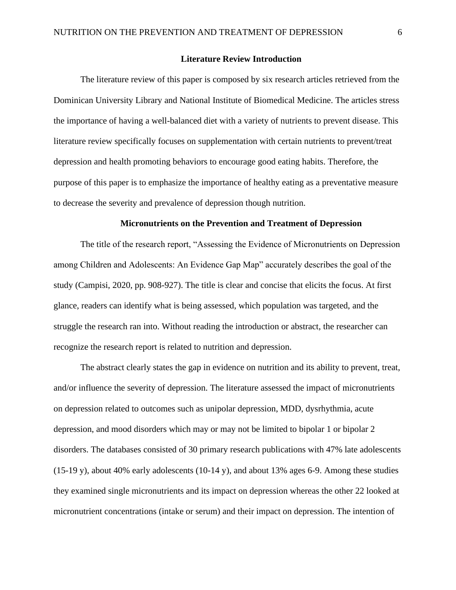#### **Literature Review Introduction**

The literature review of this paper is composed by six research articles retrieved from the Dominican University Library and National Institute of Biomedical Medicine. The articles stress the importance of having a well-balanced diet with a variety of nutrients to prevent disease. This literature review specifically focuses on supplementation with certain nutrients to prevent/treat depression and health promoting behaviors to encourage good eating habits. Therefore, the purpose of this paper is to emphasize the importance of healthy eating as a preventative measure to decrease the severity and prevalence of depression though nutrition.

#### **Micronutrients on the Prevention and Treatment of Depression**

The title of the research report, "Assessing the Evidence of Micronutrients on Depression among Children and Adolescents: An Evidence Gap Map" accurately describes the goal of the study (Campisi, 2020, pp. 908-927). The title is clear and concise that elicits the focus. At first glance, readers can identify what is being assessed, which population was targeted, and the struggle the research ran into. Without reading the introduction or abstract, the researcher can recognize the research report is related to nutrition and depression.

The abstract clearly states the gap in evidence on nutrition and its ability to prevent, treat, and/or influence the severity of depression. The literature assessed the impact of micronutrients on depression related to outcomes such as unipolar depression, MDD, dysrhythmia, acute depression, and mood disorders which may or may not be limited to bipolar 1 or bipolar 2 disorders. The databases consisted of 30 primary research publications with 47% late adolescents (15-19 y), about 40% early adolescents (10-14 y), and about 13% ages 6-9. Among these studies they examined single micronutrients and its impact on depression whereas the other 22 looked at micronutrient concentrations (intake or serum) and their impact on depression. The intention of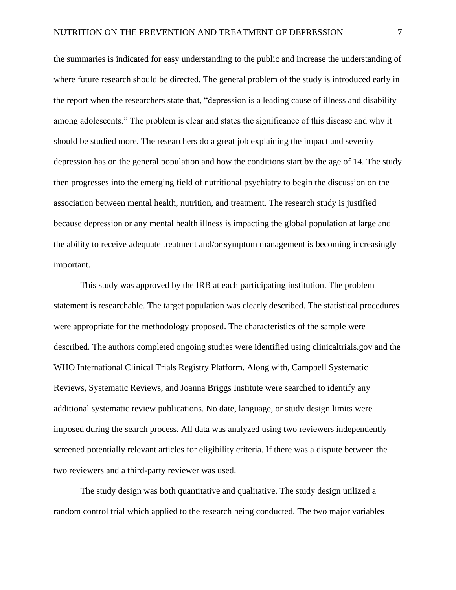the summaries is indicated for easy understanding to the public and increase the understanding of where future research should be directed. The general problem of the study is introduced early in the report when the researchers state that, "depression is a leading cause of illness and disability among adolescents." The problem is clear and states the significance of this disease and why it should be studied more. The researchers do a great job explaining the impact and severity depression has on the general population and how the conditions start by the age of 14. The study then progresses into the emerging field of nutritional psychiatry to begin the discussion on the association between mental health, nutrition, and treatment. The research study is justified because depression or any mental health illness is impacting the global population at large and the ability to receive adequate treatment and/or symptom management is becoming increasingly important.

This study was approved by the IRB at each participating institution. The problem statement is researchable. The target population was clearly described. The statistical procedures were appropriate for the methodology proposed. The characteristics of the sample were described. The authors completed ongoing studies were identified using clinicaltrials.gov and the WHO International Clinical Trials Registry Platform. Along with, Campbell Systematic Reviews, Systematic Reviews, and Joanna Briggs Institute were searched to identify any additional systematic review publications. No date, language, or study design limits were imposed during the search process. All data was analyzed using two reviewers independently screened potentially relevant articles for eligibility criteria. If there was a dispute between the two reviewers and a third-party reviewer was used.

The study design was both quantitative and qualitative. The study design utilized a random control trial which applied to the research being conducted. The two major variables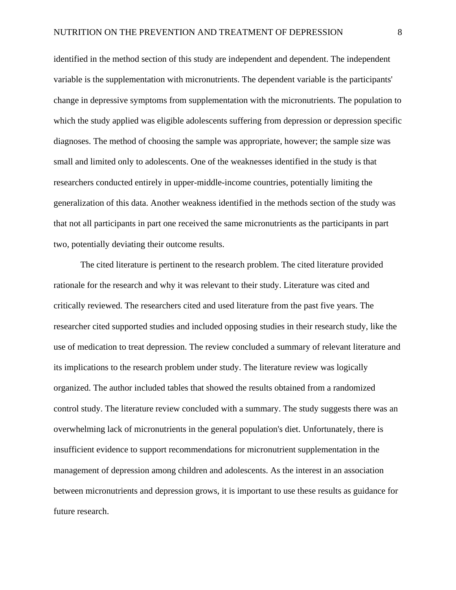identified in the method section of this study are independent and dependent. The independent variable is the supplementation with micronutrients. The dependent variable is the participants' change in depressive symptoms from supplementation with the micronutrients. The population to which the study applied was eligible adolescents suffering from depression or depression specific diagnoses. The method of choosing the sample was appropriate, however; the sample size was small and limited only to adolescents. One of the weaknesses identified in the study is that researchers conducted entirely in upper-middle-income countries, potentially limiting the generalization of this data. Another weakness identified in the methods section of the study was that not all participants in part one received the same micronutrients as the participants in part two, potentially deviating their outcome results.

The cited literature is pertinent to the research problem. The cited literature provided rationale for the research and why it was relevant to their study. Literature was cited and critically reviewed. The researchers cited and used literature from the past five years. The researcher cited supported studies and included opposing studies in their research study, like the use of medication to treat depression. The review concluded a summary of relevant literature and its implications to the research problem under study. The literature review was logically organized. The author included tables that showed the results obtained from a randomized control study. The literature review concluded with a summary. The study suggests there was an overwhelming lack of micronutrients in the general population's diet. Unfortunately, there is insufficient evidence to support recommendations for micronutrient supplementation in the management of depression among children and adolescents. As the interest in an association between micronutrients and depression grows, it is important to use these results as guidance for future research.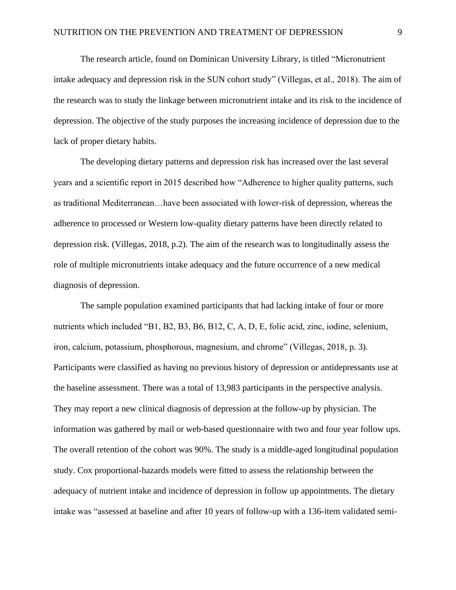The research article, found on Dominican University Library, is titled "Micronutrient intake adequacy and depression risk in the SUN cohort study" (Villegas, et al., 2018). The aim of the research was to study the linkage between micronutrient intake and its risk to the incidence of depression. The objective of the study purposes the increasing incidence of depression due to the lack of proper dietary habits.

The developing dietary patterns and depression risk has increased over the last several years and a scientific report in 2015 described how "Adherence to higher quality patterns, such as traditional Mediterranean…have been associated with lower-risk of depression, whereas the adherence to processed or Western low-quality dietary patterns have been directly related to depression risk. (Villegas, 2018, p.2). The aim of the research was to longitudinally assess the role of multiple micronutrients intake adequacy and the future occurrence of a new medical diagnosis of depression.

The sample population examined participants that had lacking intake of four or more nutrients which included "B1, B2, B3, B6, B12, C, A, D, E, folic acid, zinc, iodine, selenium, iron, calcium, potassium, phosphorous, magnesium, and chrome" (Villegas, 2018, p. 3). Participants were classified as having no previous history of depression or antidepressants use at the baseline assessment. There was a total of 13,983 participants in the perspective analysis. They may report a new clinical diagnosis of depression at the follow-up by physician. The information was gathered by mail or web-based questionnaire with two and four year follow ups. The overall retention of the cohort was 90%. The study is a middle-aged longitudinal population study. Cox proportional-hazards models were fitted to assess the relationship between the adequacy of nutrient intake and incidence of depression in follow up appointments. The dietary intake was "assessed at baseline and after 10 years of follow-up with a 136-item validated semi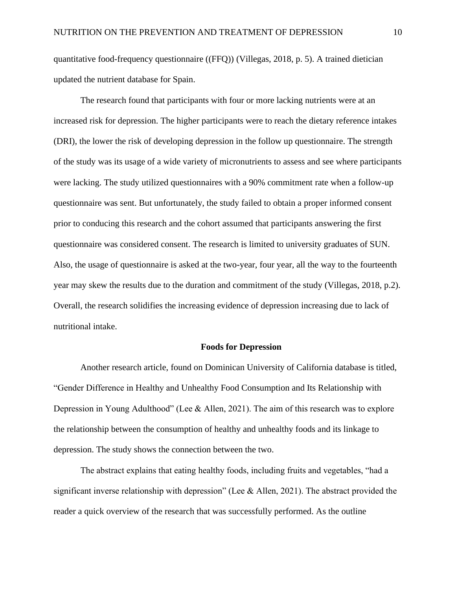quantitative food-frequency questionnaire ((FFQ)) (Villegas, 2018, p. 5). A trained dietician updated the nutrient database for Spain.

The research found that participants with four or more lacking nutrients were at an increased risk for depression. The higher participants were to reach the dietary reference intakes (DRI), the lower the risk of developing depression in the follow up questionnaire. The strength of the study was its usage of a wide variety of micronutrients to assess and see where participants were lacking. The study utilized questionnaires with a 90% commitment rate when a follow-up questionnaire was sent. But unfortunately, the study failed to obtain a proper informed consent prior to conducing this research and the cohort assumed that participants answering the first questionnaire was considered consent. The research is limited to university graduates of SUN. Also, the usage of questionnaire is asked at the two-year, four year, all the way to the fourteenth year may skew the results due to the duration and commitment of the study (Villegas, 2018, p.2). Overall, the research solidifies the increasing evidence of depression increasing due to lack of nutritional intake.

#### **Foods for Depression**

Another research article, found on Dominican University of California database is titled, "Gender Difference in Healthy and Unhealthy Food Consumption and Its Relationship with Depression in Young Adulthood" (Lee & Allen, 2021). The aim of this research was to explore the relationship between the consumption of healthy and unhealthy foods and its linkage to depression. The study shows the connection between the two.

The abstract explains that eating healthy foods, including fruits and vegetables, "had a significant inverse relationship with depression" (Lee & Allen, 2021). The abstract provided the reader a quick overview of the research that was successfully performed. As the outline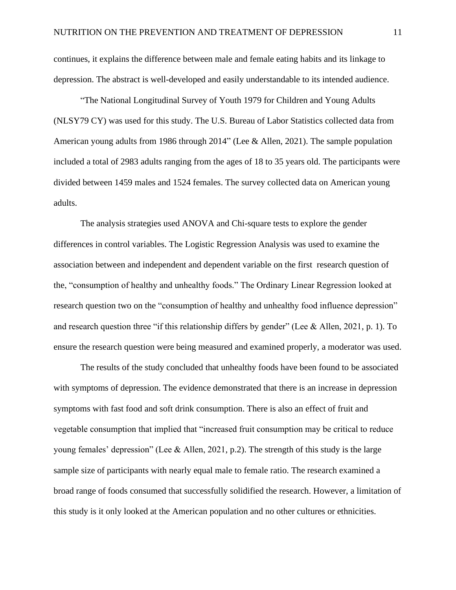continues, it explains the difference between male and female eating habits and its linkage to depression. The abstract is well-developed and easily understandable to its intended audience.

"The National Longitudinal Survey of Youth 1979 for Children and Young Adults (NLSY79 CY) was used for this study. The U.S. Bureau of Labor Statistics collected data from American young adults from 1986 through 2014" (Lee & Allen, 2021). The sample population included a total of 2983 adults ranging from the ages of 18 to 35 years old. The participants were divided between 1459 males and 1524 females. The survey collected data on American young adults.

The analysis strategies used ANOVA and Chi-square tests to explore the gender differences in control variables. The Logistic Regression Analysis was used to examine the association between and independent and dependent variable on the first research question of the, "consumption of healthy and unhealthy foods." The Ordinary Linear Regression looked at research question two on the "consumption of healthy and unhealthy food influence depression" and research question three "if this relationship differs by gender" (Lee & Allen, 2021, p. 1). To ensure the research question were being measured and examined properly, a moderator was used.

The results of the study concluded that unhealthy foods have been found to be associated with symptoms of depression. The evidence demonstrated that there is an increase in depression symptoms with fast food and soft drink consumption. There is also an effect of fruit and vegetable consumption that implied that "increased fruit consumption may be critical to reduce young females' depression" (Lee & Allen, 2021, p.2). The strength of this study is the large sample size of participants with nearly equal male to female ratio. The research examined a broad range of foods consumed that successfully solidified the research. However, a limitation of this study is it only looked at the American population and no other cultures or ethnicities.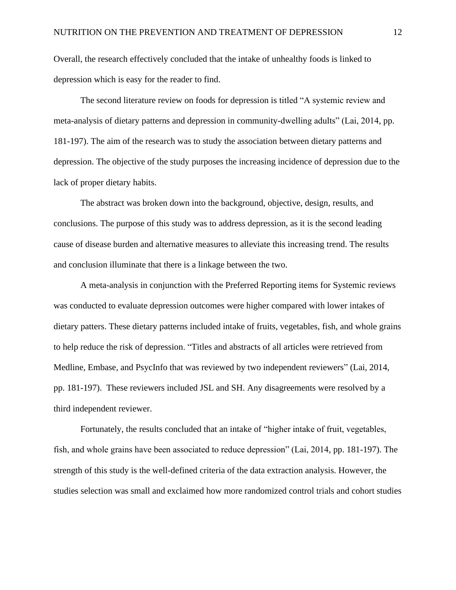Overall, the research effectively concluded that the intake of unhealthy foods is linked to depression which is easy for the reader to find.

The second literature review on foods for depression is titled "A systemic review and meta-analysis of dietary patterns and depression in community-dwelling adults" (Lai, 2014, pp. 181-197). The aim of the research was to study the association between dietary patterns and depression. The objective of the study purposes the increasing incidence of depression due to the lack of proper dietary habits.

The abstract was broken down into the background, objective, design, results, and conclusions. The purpose of this study was to address depression, as it is the second leading cause of disease burden and alternative measures to alleviate this increasing trend. The results and conclusion illuminate that there is a linkage between the two.

A meta-analysis in conjunction with the Preferred Reporting items for Systemic reviews was conducted to evaluate depression outcomes were higher compared with lower intakes of dietary patters. These dietary patterns included intake of fruits, vegetables, fish, and whole grains to help reduce the risk of depression. "Titles and abstracts of all articles were retrieved from Medline, Embase, and PsycInfo that was reviewed by two independent reviewers" (Lai, 2014, pp. 181-197). These reviewers included JSL and SH. Any disagreements were resolved by a third independent reviewer.

Fortunately, the results concluded that an intake of "higher intake of fruit, vegetables, fish, and whole grains have been associated to reduce depression" (Lai, 2014, pp. 181-197). The strength of this study is the well-defined criteria of the data extraction analysis. However, the studies selection was small and exclaimed how more randomized control trials and cohort studies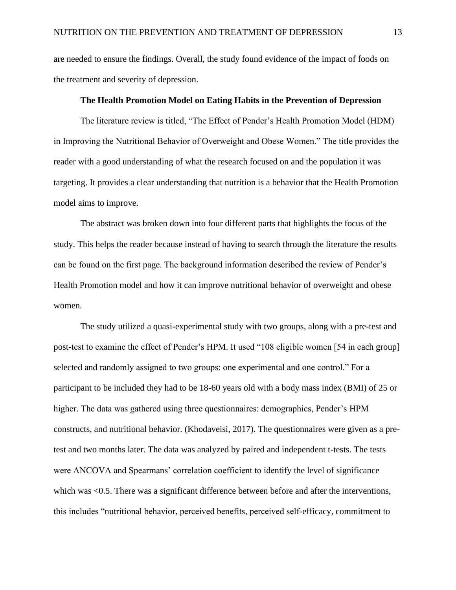are needed to ensure the findings. Overall, the study found evidence of the impact of foods on the treatment and severity of depression.

#### **The Health Promotion Model on Eating Habits in the Prevention of Depression**

The literature review is titled, "The Effect of Pender's Health Promotion Model (HDM) in Improving the Nutritional Behavior of Overweight and Obese Women." The title provides the reader with a good understanding of what the research focused on and the population it was targeting. It provides a clear understanding that nutrition is a behavior that the Health Promotion model aims to improve.

The abstract was broken down into four different parts that highlights the focus of the study. This helps the reader because instead of having to search through the literature the results can be found on the first page. The background information described the review of Pender's Health Promotion model and how it can improve nutritional behavior of overweight and obese women.

The study utilized a quasi-experimental study with two groups, along with a pre-test and post-test to examine the effect of Pender's HPM. It used "108 eligible women [54 in each group] selected and randomly assigned to two groups: one experimental and one control." For a participant to be included they had to be 18-60 years old with a body mass index (BMI) of 25 or higher. The data was gathered using three questionnaires: demographics, Pender's HPM constructs, and nutritional behavior. (Khodaveisi, 2017). The questionnaires were given as a pretest and two months later. The data was analyzed by paired and independent t-tests. The tests were ANCOVA and Spearmans' correlation coefficient to identify the level of significance which was  $\leq 0.5$ . There was a significant difference between before and after the interventions, this includes "nutritional behavior, perceived benefits, perceived self-efficacy, commitment to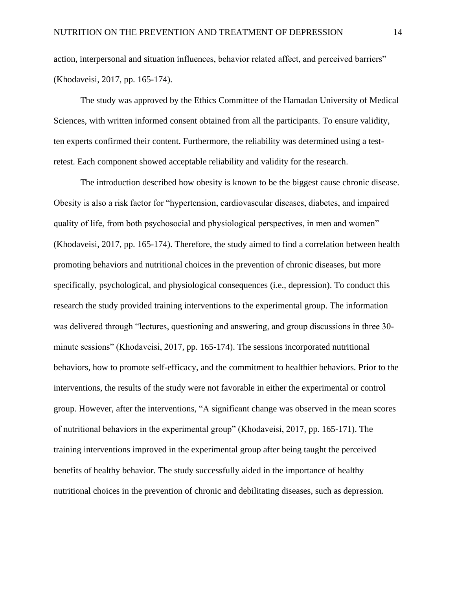action, interpersonal and situation influences, behavior related affect, and perceived barriers" (Khodaveisi, 2017, pp. 165-174).

The study was approved by the Ethics Committee of the Hamadan University of Medical Sciences, with written informed consent obtained from all the participants. To ensure validity, ten experts confirmed their content. Furthermore, the reliability was determined using a testretest. Each component showed acceptable reliability and validity for the research.

The introduction described how obesity is known to be the biggest cause chronic disease. Obesity is also a risk factor for "hypertension, cardiovascular diseases, diabetes, and impaired quality of life, from both psychosocial and physiological perspectives, in men and women" (Khodaveisi, 2017, pp. 165-174). Therefore, the study aimed to find a correlation between health promoting behaviors and nutritional choices in the prevention of chronic diseases, but more specifically, psychological, and physiological consequences (i.e., depression). To conduct this research the study provided training interventions to the experimental group. The information was delivered through "lectures, questioning and answering, and group discussions in three 30 minute sessions" (Khodaveisi, 2017, pp. 165-174). The sessions incorporated nutritional behaviors, how to promote self-efficacy, and the commitment to healthier behaviors. Prior to the interventions, the results of the study were not favorable in either the experimental or control group. However, after the interventions, "A significant change was observed in the mean scores of nutritional behaviors in the experimental group" (Khodaveisi, 2017, pp. 165-171). The training interventions improved in the experimental group after being taught the perceived benefits of healthy behavior. The study successfully aided in the importance of healthy nutritional choices in the prevention of chronic and debilitating diseases, such as depression.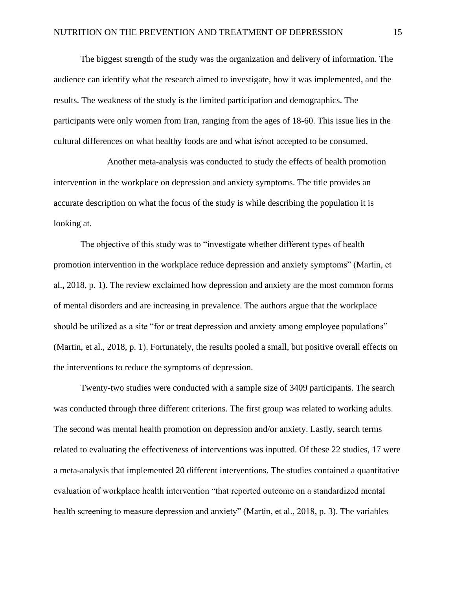The biggest strength of the study was the organization and delivery of information. The audience can identify what the research aimed to investigate, how it was implemented, and the results. The weakness of the study is the limited participation and demographics. The participants were only women from Iran, ranging from the ages of 18-60. This issue lies in the cultural differences on what healthy foods are and what is/not accepted to be consumed.

Another meta-analysis was conducted to study the effects of health promotion intervention in the workplace on depression and anxiety symptoms. The title provides an accurate description on what the focus of the study is while describing the population it is looking at.

The objective of this study was to "investigate whether different types of health promotion intervention in the workplace reduce depression and anxiety symptoms" (Martin, et al., 2018, p. 1). The review exclaimed how depression and anxiety are the most common forms of mental disorders and are increasing in prevalence. The authors argue that the workplace should be utilized as a site "for or treat depression and anxiety among employee populations" (Martin, et al., 2018, p. 1). Fortunately, the results pooled a small, but positive overall effects on the interventions to reduce the symptoms of depression.

Twenty-two studies were conducted with a sample size of 3409 participants. The search was conducted through three different criterions. The first group was related to working adults. The second was mental health promotion on depression and/or anxiety. Lastly, search terms related to evaluating the effectiveness of interventions was inputted. Of these 22 studies, 17 were a meta-analysis that implemented 20 different interventions. The studies contained a quantitative evaluation of workplace health intervention "that reported outcome on a standardized mental health screening to measure depression and anxiety" (Martin, et al., 2018, p. 3). The variables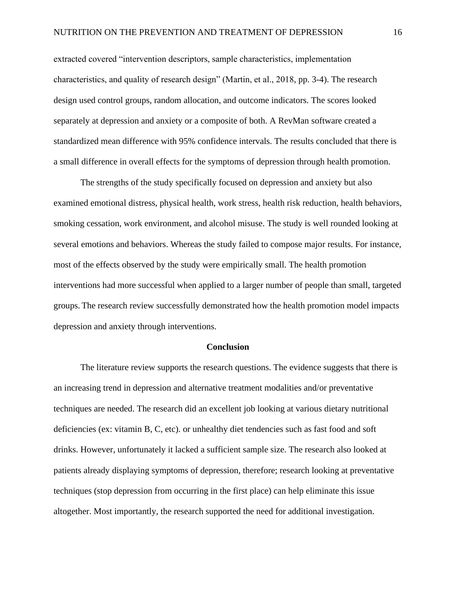extracted covered "intervention descriptors, sample characteristics, implementation characteristics, and quality of research design" (Martin, et al., 2018, pp. 3-4). The research design used control groups, random allocation, and outcome indicators. The scores looked separately at depression and anxiety or a composite of both. A RevMan software created a standardized mean difference with 95% confidence intervals. The results concluded that there is a small difference in overall effects for the symptoms of depression through health promotion.

The strengths of the study specifically focused on depression and anxiety but also examined emotional distress, physical health, work stress, health risk reduction, health behaviors, smoking cessation, work environment, and alcohol misuse. The study is well rounded looking at several emotions and behaviors. Whereas the study failed to compose major results. For instance, most of the effects observed by the study were empirically small. The health promotion interventions had more successful when applied to a larger number of people than small, targeted groups. The research review successfully demonstrated how the health promotion model impacts depression and anxiety through interventions.

#### **Conclusion**

The literature review supports the research questions. The evidence suggests that there is an increasing trend in depression and alternative treatment modalities and/or preventative techniques are needed. The research did an excellent job looking at various dietary nutritional deficiencies (ex: vitamin B, C, etc). or unhealthy diet tendencies such as fast food and soft drinks. However, unfortunately it lacked a sufficient sample size. The research also looked at patients already displaying symptoms of depression, therefore; research looking at preventative techniques (stop depression from occurring in the first place) can help eliminate this issue altogether. Most importantly, the research supported the need for additional investigation.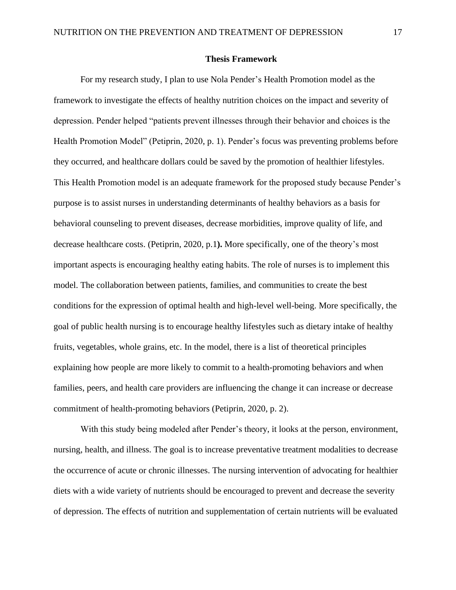#### **Thesis Framework**

For my research study, I plan to use Nola Pender's Health Promotion model as the framework to investigate the effects of healthy nutrition choices on the impact and severity of depression. Pender helped "patients prevent illnesses through their behavior and choices is the Health Promotion Model" (Petiprin, 2020, p. 1). Pender's focus was preventing problems before they occurred, and healthcare dollars could be saved by the promotion of healthier lifestyles. This Health Promotion model is an adequate framework for the proposed study because Pender's purpose is to assist nurses in understanding determinants of healthy behaviors as a basis for behavioral counseling to prevent diseases, decrease morbidities, improve quality of life, and decrease healthcare costs. (Petiprin, 2020, p.1**).** More specifically, one of the theory's most important aspects is encouraging healthy eating habits. The role of nurses is to implement this model. The collaboration between patients, families, and communities to create the best conditions for the expression of optimal health and high-level well-being. More specifically, the goal of public health nursing is to encourage healthy lifestyles such as dietary intake of healthy fruits, vegetables, whole grains, etc. In the model, there is a list of theoretical principles explaining how people are more likely to commit to a health-promoting behaviors and when families, peers, and health care providers are influencing the change it can increase or decrease commitment of health-promoting behaviors (Petiprin, 2020, p. 2).

With this study being modeled after Pender's theory, it looks at the person, environment, nursing, health, and illness. The goal is to increase preventative treatment modalities to decrease the occurrence of acute or chronic illnesses. The nursing intervention of advocating for healthier diets with a wide variety of nutrients should be encouraged to prevent and decrease the severity of depression. The effects of nutrition and supplementation of certain nutrients will be evaluated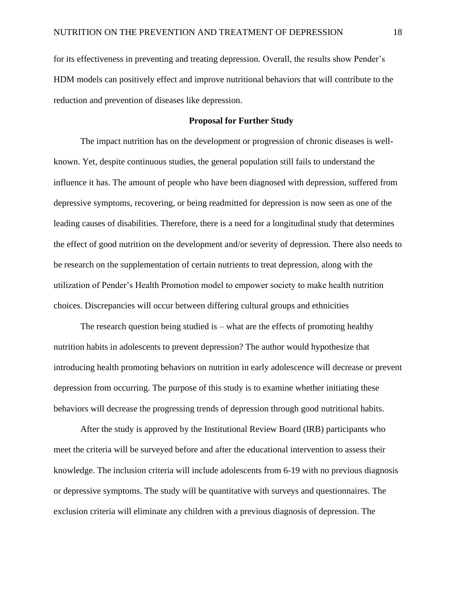for its effectiveness in preventing and treating depression. Overall, the results show Pender's HDM models can positively effect and improve nutritional behaviors that will contribute to the reduction and prevention of diseases like depression.

#### **Proposal for Further Study**

The impact nutrition has on the development or progression of chronic diseases is wellknown. Yet, despite continuous studies, the general population still fails to understand the influence it has. The amount of people who have been diagnosed with depression, suffered from depressive symptoms, recovering, or being readmitted for depression is now seen as one of the leading causes of disabilities. Therefore, there is a need for a longitudinal study that determines the effect of good nutrition on the development and/or severity of depression. There also needs to be research on the supplementation of certain nutrients to treat depression, along with the utilization of Pender's Health Promotion model to empower society to make health nutrition choices. Discrepancies will occur between differing cultural groups and ethnicities

The research question being studied is – what are the effects of promoting healthy nutrition habits in adolescents to prevent depression? The author would hypothesize that introducing health promoting behaviors on nutrition in early adolescence will decrease or prevent depression from occurring. The purpose of this study is to examine whether initiating these behaviors will decrease the progressing trends of depression through good nutritional habits.

After the study is approved by the Institutional Review Board (IRB) participants who meet the criteria will be surveyed before and after the educational intervention to assess their knowledge. The inclusion criteria will include adolescents from 6-19 with no previous diagnosis or depressive symptoms. The study will be quantitative with surveys and questionnaires. The exclusion criteria will eliminate any children with a previous diagnosis of depression. The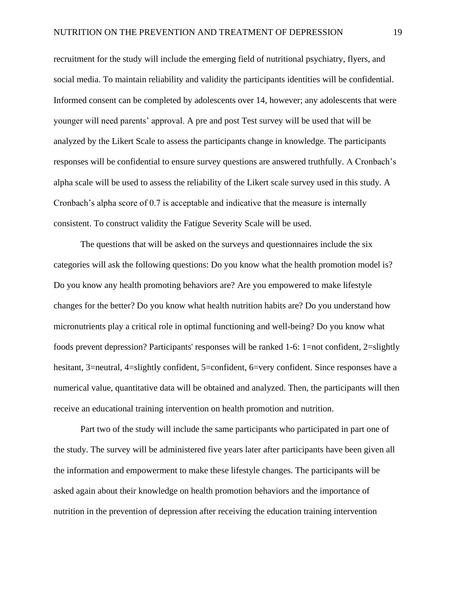recruitment for the study will include the emerging field of nutritional psychiatry, flyers, and social media. To maintain reliability and validity the participants identities will be confidential. Informed consent can be completed by adolescents over 14, however; any adolescents that were younger will need parents' approval. A pre and post Test survey will be used that will be analyzed by the Likert Scale to assess the participants change in knowledge. The participants responses will be confidential to ensure survey questions are answered truthfully. A Cronbach's alpha scale will be used to assess the reliability of the Likert scale survey used in this study. A Cronbach's alpha score of 0.7 is acceptable and indicative that the measure is internally consistent. To construct validity the Fatigue Severity Scale will be used.

The questions that will be asked on the surveys and questionnaires include the six categories will ask the following questions: Do you know what the health promotion model is? Do you know any health promoting behaviors are? Are you empowered to make lifestyle changes for the better? Do you know what health nutrition habits are? Do you understand how micronutrients play a critical role in optimal functioning and well-being? Do you know what foods prevent depression? Participants' responses will be ranked 1-6: 1=not confident, 2=slightly hesitant, 3=neutral, 4=slightly confident, 5=confident, 6=very confident. Since responses have a numerical value, quantitative data will be obtained and analyzed. Then, the participants will then receive an educational training intervention on health promotion and nutrition.

Part two of the study will include the same participants who participated in part one of the study. The survey will be administered five years later after participants have been given all the information and empowerment to make these lifestyle changes. The participants will be asked again about their knowledge on health promotion behaviors and the importance of nutrition in the prevention of depression after receiving the education training intervention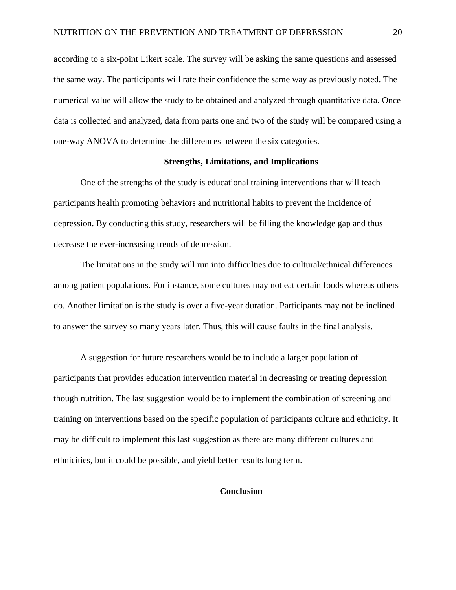according to a six-point Likert scale. The survey will be asking the same questions and assessed the same way. The participants will rate their confidence the same way as previously noted. The numerical value will allow the study to be obtained and analyzed through quantitative data. Once data is collected and analyzed, data from parts one and two of the study will be compared using a one-way ANOVA to determine the differences between the six categories.

#### **Strengths, Limitations, and Implications**

One of the strengths of the study is educational training interventions that will teach participants health promoting behaviors and nutritional habits to prevent the incidence of depression. By conducting this study, researchers will be filling the knowledge gap and thus decrease the ever-increasing trends of depression.

The limitations in the study will run into difficulties due to cultural/ethnical differences among patient populations. For instance, some cultures may not eat certain foods whereas others do. Another limitation is the study is over a five-year duration. Participants may not be inclined to answer the survey so many years later. Thus, this will cause faults in the final analysis.

A suggestion for future researchers would be to include a larger population of participants that provides education intervention material in decreasing or treating depression though nutrition. The last suggestion would be to implement the combination of screening and training on interventions based on the specific population of participants culture and ethnicity. It may be difficult to implement this last suggestion as there are many different cultures and ethnicities, but it could be possible, and yield better results long term.

### **Conclusion**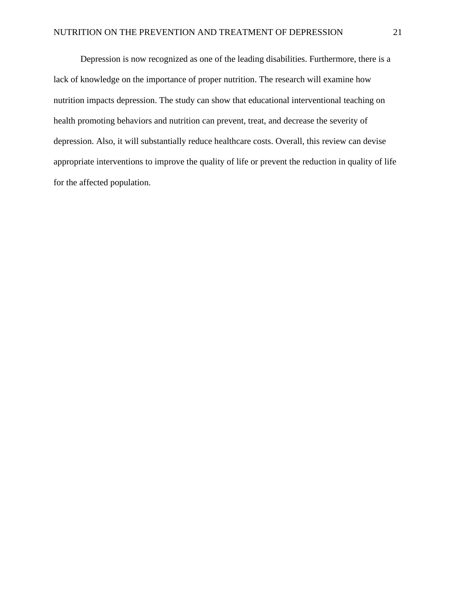Depression is now recognized as one of the leading disabilities. Furthermore, there is a lack of knowledge on the importance of proper nutrition. The research will examine how nutrition impacts depression. The study can show that educational interventional teaching on health promoting behaviors and nutrition can prevent, treat, and decrease the severity of depression. Also, it will substantially reduce healthcare costs. Overall, this review can devise appropriate interventions to improve the quality of life or prevent the reduction in quality of life for the affected population.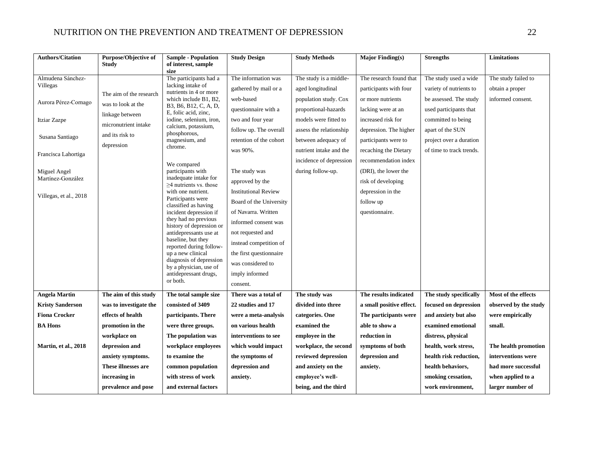| <b>Authors/Citation</b>     | <b>Purpose/Objective of</b><br><b>Study</b> | <b>Sample - Population</b><br>of interest, sample     | <b>Study Design</b>         | <b>Study Methods</b>    | <b>Major Finding(s)</b>  | <b>Strengths</b>         | <b>Limitations</b>    |
|-----------------------------|---------------------------------------------|-------------------------------------------------------|-----------------------------|-------------------------|--------------------------|--------------------------|-----------------------|
|                             |                                             | size                                                  |                             |                         |                          |                          |                       |
| Almudena Sánchez-           |                                             | The participants had a                                | The information was         | The study is a middle-  | The research found that  | The study used a wide    | The study failed to   |
| Villegas                    | The aim of the research                     | lacking intake of<br>nutrients in 4 or more           | gathered by mail or a       | aged longitudinal       | participants with four   | variety of nutrients to  | obtain a proper       |
| Aurora Pérez-Cornago        | was to look at the                          | which include B1, B2,                                 | web-based                   | population study. Cox   | or more nutrients        | be assessed. The study   | informed consent.     |
|                             | linkage between                             | B3, B6, B12, C, A, D,<br>E, folic acid, zinc,         | questionnaire with a        | proportional-hazards    | lacking were at an       | used participants that   |                       |
| Itziar Zazpe                | micronutrient intake                        | iodine, selenium, iron,                               | two and four year           | models were fitted to   | increased risk for       | committed to being       |                       |
|                             | and its risk to                             | calcium, potassium,<br>phosphorous,                   | follow up. The overall      | assess the relationship | depression. The higher   | apart of the SUN         |                       |
| Susana Santiago             |                                             | magnesium, and                                        | retention of the cohort     | between adequacy of     | participants were to     | project over a duration  |                       |
| Francisca Lahortiga         | depression                                  | chrome.                                               | was 90%.                    | nutrient intake and the | recaching the Dietary    | of time to track trends. |                       |
|                             |                                             | We compared                                           |                             | incidence of depression | recommendation index     |                          |                       |
| Miguel Angel                |                                             | participants with                                     | The study was               | during follow-up.       | (DRI), the lower the     |                          |                       |
| Martínez-González           |                                             | inadequate intake for<br>$\geq$ 4 nutrients vs. those | approved by the             |                         | risk of developing       |                          |                       |
| Villegas, et al., 2018      |                                             | with one nutrient.                                    | <b>Institutional Review</b> |                         | depression in the        |                          |                       |
|                             |                                             | Participants were<br>classified as having             | Board of the University     |                         | follow up                |                          |                       |
|                             |                                             | incident depression if                                | of Navarra. Written         |                         | questionnaire.           |                          |                       |
|                             |                                             | they had no previous<br>history of depression or      | informed consent was        |                         |                          |                          |                       |
|                             |                                             | antidepressants use at                                | not requested and           |                         |                          |                          |                       |
|                             |                                             | baseline, but they<br>reported during follow-         | instead competition of      |                         |                          |                          |                       |
|                             |                                             | up a new clinical                                     | the first questionnaire     |                         |                          |                          |                       |
|                             |                                             | diagnosis of depression<br>by a physician, use of     | was considered to           |                         |                          |                          |                       |
|                             |                                             | antidepressant drugs,                                 | imply informed              |                         |                          |                          |                       |
|                             |                                             | or both.                                              | consent.                    |                         |                          |                          |                       |
| <b>Angela Martin</b>        | The aim of this study                       | The total sample size                                 | There was a total of        | The study was           | The results indicated    | The study specifically   | Most of the effects   |
| <b>Kristy Sanderson</b>     | was to investigate the                      | consisted of 3409                                     | 22 studies and 17           | divided into three      | a small positive effect. | focused on depression    | observed by the study |
| <b>Fiona Crocker</b>        | effects of health                           | participants. There                                   | were a meta-analysis        | categories. One         | The participants were    | and anxiety but also     | were empirically      |
| <b>BA Hons</b>              | promotion in the                            | were three groups.                                    | on various health           | examined the            | able to show a           | examined emotional       | small.                |
|                             | workplace on                                | The population was                                    | interventions to see        | employee in the         | reduction in             | distress, physical       |                       |
| <b>Martin, et al., 2018</b> | depression and                              | workplace employees                                   | which would impact          | workplace, the second   | symptoms of both         | health, work stress,     | The health promotion  |
|                             | anxiety symptoms.                           | to examine the                                        | the symptoms of             | reviewed depression     | depression and           | health risk reduction,   | interventions were    |
|                             | These illnesses are                         | common population                                     | depression and              | and anxiety on the      | anxiety.                 | health behaviors,        | had more successful   |
|                             | increasing in                               | with stress of work                                   | anxiety.                    | employee's well-        |                          | smoking cessation,       | when applied to a     |
|                             | prevalence and pose                         | and external factors                                  |                             | being, and the third    |                          | work environment,        | larger number of      |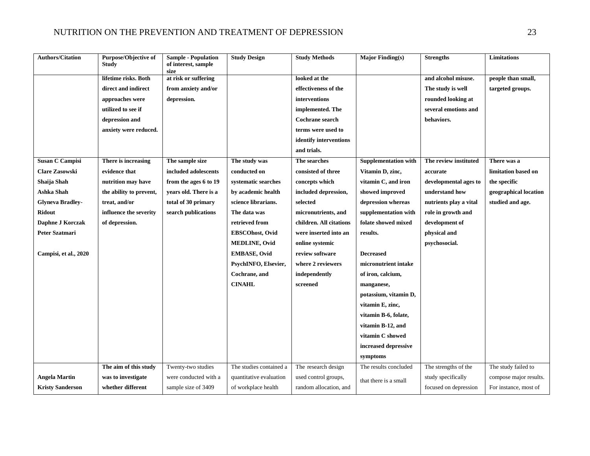| <b>Authors/Citation</b> | Purpose/Objective of<br><b>Study</b> | <b>Sample - Population</b><br>of interest, sample<br>size | <b>Study Design</b>     | <b>Study Methods</b>    | <b>Major Finding(s)</b>     | <b>Strengths</b>       | Limitations            |
|-------------------------|--------------------------------------|-----------------------------------------------------------|-------------------------|-------------------------|-----------------------------|------------------------|------------------------|
|                         | lifetime risks. Both                 | at risk or suffering                                      |                         | looked at the           |                             | and alcohol misuse.    | people than small,     |
|                         | direct and indirect                  | from anxiety and/or                                       |                         | effectiveness of the    |                             | The study is well      | targeted groups.       |
|                         | approaches were                      | depression.                                               |                         | interventions           |                             | rounded looking at     |                        |
|                         | utilized to see if                   |                                                           |                         | implemented. The        |                             | several emotions and   |                        |
|                         | depression and                       |                                                           |                         | <b>Cochrane search</b>  |                             | behaviors.             |                        |
|                         | anxiety were reduced.                |                                                           |                         | terms were used to      |                             |                        |                        |
|                         |                                      |                                                           |                         | identify interventions  |                             |                        |                        |
|                         |                                      |                                                           |                         | and trials.             |                             |                        |                        |
| <b>Susan C Campisi</b>  | There is increasing                  | The sample size                                           | The study was           | The searches            | <b>Supplementation with</b> | The review instituted  | There was a            |
| <b>Clare Zasowski</b>   | evidence that                        | included adolescents                                      | conducted on            | consisted of three      | Vitamin D, zinc,            | accurate               | limitation based on    |
| Shaija Shah             | nutrition may have                   | from the ages 6 to 19                                     | systematic searches     | concepts which          | vitamin C, and iron         | developmental ages to  | the specific           |
| Ashka Shah              | the ability to prevent,              | years old. There is a                                     | by academic health      | included depression,    | showed improved             | understand how         | geographical location  |
| <b>Glyneva Bradley-</b> | treat, and/or                        | total of 30 primary                                       | science librarians.     | selected                | depression whereas          | nutrients play a vital | studied and age.       |
| <b>Ridout</b>           | influence the severity               | search publications                                       | The data was            | micronutrients, and     | supplementation with        | role in growth and     |                        |
| Daphne J Korczak        | of depression.                       |                                                           | retrieved from          | children. All citations | folate showed mixed         | development of         |                        |
| Peter Szatmari          |                                      |                                                           | EBSCOhost, Ovid         | were inserted into an   | results.                    | physical and           |                        |
|                         |                                      |                                                           | <b>MEDLINE, Ovid</b>    | online systemic         |                             | psychosocial.          |                        |
| Campisi, et al., 2020   |                                      |                                                           | <b>EMBASE, Ovid</b>     | review software         | <b>Decreased</b>            |                        |                        |
|                         |                                      |                                                           | PsychINFO, Elsevier,    | where 2 reviewers       | micronutrient intake        |                        |                        |
|                         |                                      |                                                           | Cochrane, and           | independently           | of iron, calcium,           |                        |                        |
|                         |                                      |                                                           | <b>CINAHL</b>           | screened                | manganese,                  |                        |                        |
|                         |                                      |                                                           |                         |                         | potassium, vitamin D,       |                        |                        |
|                         |                                      |                                                           |                         |                         | vitamin E, zinc,            |                        |                        |
|                         |                                      |                                                           |                         |                         | vitamin B-6, folate,        |                        |                        |
|                         |                                      |                                                           |                         |                         | vitamin B-12, and           |                        |                        |
|                         |                                      |                                                           |                         |                         | vitamin C showed            |                        |                        |
|                         |                                      |                                                           |                         |                         | increased depressive        |                        |                        |
|                         |                                      |                                                           |                         |                         | symptoms                    |                        |                        |
|                         | The aim of this study                | Twenty-two studies                                        | The studies contained a | The research design     | The results concluded       | The strengths of the   | The study failed to    |
| <b>Angela Martin</b>    | was to investigate                   | were conducted with a                                     | quantitative evaluation | used control groups,    | that there is a small       | study specifically     | compose major results. |
| <b>Kristy Sanderson</b> | whether different                    | sample size of 3409                                       | of workplace health     | random allocation, and  |                             | focused on depression  | For instance, most of  |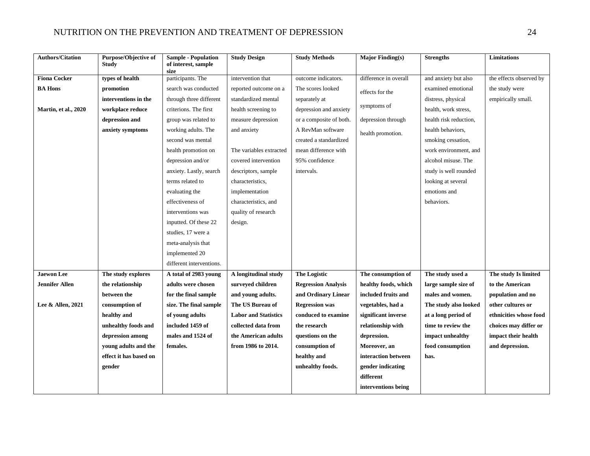| <b>Authors/Citation</b>     | <b>Purpose/Objective of</b> | <b>Sample - Population</b><br>of interest, sample | <b>Study Design</b>         | <b>Study Methods</b>       | <b>Major Finding(s)</b> | <b>Strengths</b>       | Limitations             |
|-----------------------------|-----------------------------|---------------------------------------------------|-----------------------------|----------------------------|-------------------------|------------------------|-------------------------|
|                             | <b>Study</b>                | size                                              |                             |                            |                         |                        |                         |
| <b>Fiona Cocker</b>         | types of health             | participants. The                                 | intervention that           | outcome indicators.        | difference in overall   | and anxiety but also   | the effects observed by |
| <b>BA Hons</b>              | promotion                   | search was conducted                              | reported outcome on a       | The scores looked          | effects for the         | examined emotional     | the study were          |
|                             | interventions in the        | through three different                           | standardized mental         | separately at              |                         | distress, physical     | empirically small.      |
| <b>Martin, et al., 2020</b> | workplace reduce            | criterions. The first                             | health screening to         | depression and anxiety     | symptoms of             | health, work stress,   |                         |
|                             | depression and              | group was related to                              | measure depression          | or a composite of both.    | depression through      | health risk reduction, |                         |
|                             | anxiety symptoms            | working adults. The                               | and anxiety                 | A RevMan software          | health promotion.       | health behaviors.      |                         |
|                             |                             | second was mental                                 |                             | created a standardized     |                         | smoking cessation,     |                         |
|                             |                             | health promotion on                               | The variables extracted     | mean difference with       |                         | work environment, and  |                         |
|                             |                             | depression and/or                                 | covered intervention        | 95% confidence             |                         | alcohol misuse. The    |                         |
|                             |                             | anxiety. Lastly, search                           | descriptors, sample         | intervals.                 |                         | study is well rounded  |                         |
|                             |                             | terms related to                                  | characteristics,            |                            |                         | looking at several     |                         |
|                             |                             | evaluating the                                    | implementation              |                            |                         | emotions and           |                         |
|                             |                             | effectiveness of                                  | characteristics, and        |                            |                         | behaviors.             |                         |
|                             |                             | interventions was                                 | quality of research         |                            |                         |                        |                         |
|                             |                             | inputted. Of these 22                             | design.                     |                            |                         |                        |                         |
|                             |                             | studies, 17 were a                                |                             |                            |                         |                        |                         |
|                             |                             | meta-analysis that                                |                             |                            |                         |                        |                         |
|                             |                             | implemented 20                                    |                             |                            |                         |                        |                         |
|                             |                             | different interventions.                          |                             |                            |                         |                        |                         |
| <b>Jaewon</b> Lee           | The study explores          | A total of 2983 young                             | A longitudinal study        | <b>The Logistic</b>        | The consumption of      | The study used a       | The study Is limited    |
| <b>Jennifer Allen</b>       | the relationship            | adults were chosen                                | surveyed children           | <b>Regression Analysis</b> | healthy foods, which    | large sample size of   | to the American         |
|                             | between the                 | for the final sample                              | and young adults.           | and Ordinary Linear        | included fruits and     | males and women.       | population and no       |
| Lee & Allen, 2021           | consumption of              | size. The final sample                            | The US Bureau of            | <b>Regression was</b>      | vegetables, had a       | The study also looked  | other cultures or       |
|                             | healthy and                 | of young adults                                   | <b>Labor and Statistics</b> | conduced to examine        | significant inverse     | at a long period of    | ethnicities whose food  |
|                             | unhealthy foods and         | included 1459 of                                  | collected data from         | the research               | relationship with       | time to review the     | choices may differ or   |
|                             | depression among            | males and 1524 of                                 | the American adults         | questions on the           | depression.             | impact unhealthy       | impact their health     |
|                             | young adults and the        | females.                                          | from 1986 to 2014.          | consumption of             | Moreover, an            | food consumption       | and depression.         |
|                             | effect it has based on      |                                                   |                             | healthy and                | interaction between     | has.                   |                         |
|                             | gender                      |                                                   |                             | unhealthy foods.           | gender indicating       |                        |                         |
|                             |                             |                                                   |                             |                            | different               |                        |                         |
|                             |                             |                                                   |                             |                            | interventions being     |                        |                         |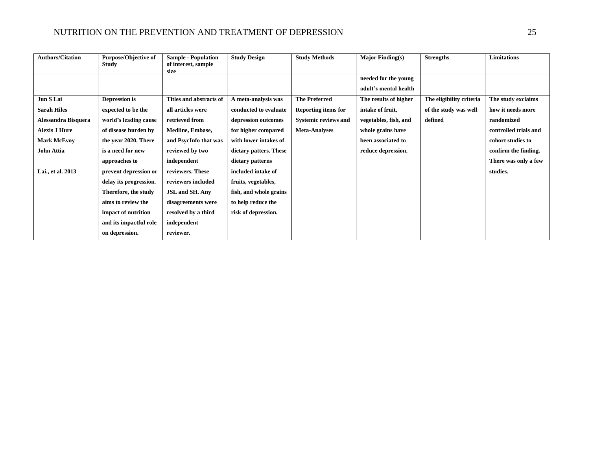| <b>Authors/Citation</b> | <b>Purpose/Objective of</b><br><b>Study</b> | <b>Sample - Population</b><br>of interest, sample | <b>Study Design</b>    | <b>Study Methods</b>        | <b>Major Finding(s)</b> | <b>Strengths</b>         | <b>Limitations</b>    |
|-------------------------|---------------------------------------------|---------------------------------------------------|------------------------|-----------------------------|-------------------------|--------------------------|-----------------------|
|                         |                                             | size                                              |                        |                             | needed for the young    |                          |                       |
|                         |                                             |                                                   |                        |                             | adult's mental health   |                          |                       |
| Jun S Lai               | Depression is                               | Titles and abstracts of                           | A meta-analysis was    | <b>The Preferred</b>        | The results of higher   | The eligibility criteria | The study exclaims    |
| <b>Sarah Hiles</b>      | expected to be the                          | all articles were                                 | conducted to evaluate  | <b>Reporting items for</b>  | intake of fruit.        | of the study was well    | how it needs more     |
| Alessandra Bisquera     | world's leading cause                       | retrieved from                                    | depression outcomes    | <b>Systemic reviews and</b> | vegetables, fish, and   | defined                  | randomized            |
| <b>Alexis J Hure</b>    | of disease burden by                        | <b>Medline, Embase,</b>                           | for higher compared    | <b>Meta-Analyses</b>        | whole grains have       |                          | controlled trials and |
| <b>Mark McEvoy</b>      | the year 2020. There                        | and PsycInfo that was                             | with lower intakes of  |                             | been associated to      |                          | cohort studies to     |
| John Attia              | is a need for new                           | reviewed by two                                   | dietary patters. These |                             | reduce depression.      |                          | confirm the finding.  |
|                         | approaches to                               | independent                                       | dietary patterns       |                             |                         |                          | There was only a few  |
| Lai., et al. 2013       | prevent depression or                       | reviewers. These                                  | included intake of     |                             |                         |                          | studies.              |
|                         | delay its progression.                      | reviewers included                                | fruits, vegetables,    |                             |                         |                          |                       |
|                         | Therefore, the study                        | <b>JSL and SH. Any</b>                            | fish, and whole grains |                             |                         |                          |                       |
|                         | aims to review the                          | disagreements were                                | to help reduce the     |                             |                         |                          |                       |
|                         | impact of nutrition                         | resolved by a third                               | risk of depression.    |                             |                         |                          |                       |
|                         | and its impactful role                      | independent                                       |                        |                             |                         |                          |                       |
|                         | on depression.                              | reviewer.                                         |                        |                             |                         |                          |                       |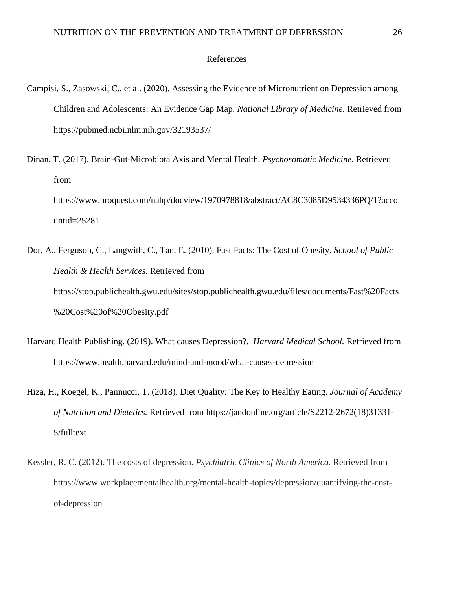#### References

- Campisi, S., Zasowski, C., et al. (2020). Assessing the Evidence of Micronutrient on Depression among Children and Adolescents: An Evidence Gap Map. *National Library of Medicine.* Retrieved from https://pubmed.ncbi.nlm.nih.gov/32193537/
- Dinan, T. (2017). Brain-Gut-Microbiota Axis and Mental Health. *Psychosomatic Medicine.* Retrieved from https://www.proquest.com/nahp/docview/1970978818/abstract/AC8C3085D9534336PQ/1?acco untid=25281
- Dor, A., Ferguson, C., Langwith, C., Tan, E. (2010). Fast Facts: The Cost of Obesity. *School of Public Health & Health Services.* Retrieved from https://stop.publichealth.gwu.edu/sites/stop.publichealth.gwu.edu/files/documents/Fast%20Facts %20Cost%20of%20Obesity.pdf
- Harvard Health Publishing. (2019). What causes Depression?. *Harvard Medical School.* Retrieved from https://www.health.harvard.edu/mind-and-mood/what-causes-depression
- Hiza, H., Koegel, K., Pannucci, T. (2018). Diet Quality: The Key to Healthy Eating. *Journal of Academy of Nutrition and Dietetics.* Retrieved from https://jandonline.org/article/S2212-2672(18)31331- 5/fulltext
- Kessler, R. C. (2012). The costs of depression. *Psychiatric Clinics of North America.* Retrieved from https://www.workplacementalhealth.org/mental-health-topics/depression/quantifying-the-costof-depression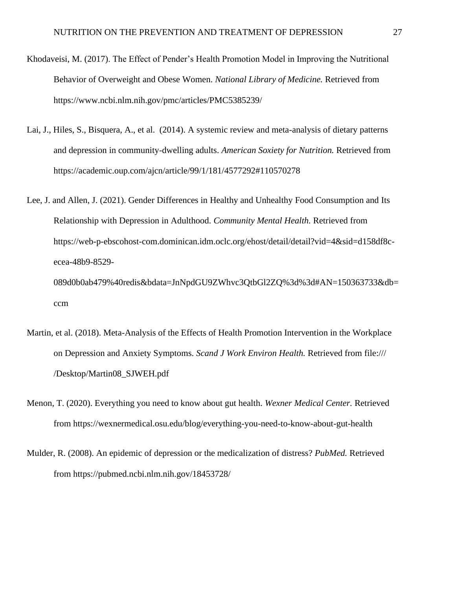- Khodaveisi, M. (2017). The Effect of Pender's Health Promotion Model in Improving the Nutritional Behavior of Overweight and Obese Women. *National Library of Medicine.* Retrieved from https://www.ncbi.nlm.nih.gov/pmc/articles/PMC5385239/
- Lai, J., Hiles, S., Bisquera, A., et al. (2014). A systemic review and meta-analysis of dietary patterns and depression in community-dwelling adults. *American Soxiety for Nutrition.* Retrieved from https://academic.oup.com/ajcn/article/99/1/181/4577292#110570278
- Lee, J. and Allen, J. (2021). Gender Differences in Healthy and Unhealthy Food Consumption and Its Relationship with Depression in Adulthood. *Community Mental Health.* Retrieved from https://web-p-ebscohost-com.dominican.idm.oclc.org/ehost/detail/detail?vid=4&sid=d158df8cecea-48b9-8529- 089d0b0ab479%40redis&bdata=JnNpdGU9ZWhvc3QtbGl2ZQ%3d%3d#AN=150363733&db=

ccm

- Martin, et al. (2018). Meta-Analysis of the Effects of Health Promotion Intervention in the Workplace on Depression and Anxiety Symptoms. *Scand J Work Environ Health.* Retrieved from file:/// /Desktop/Martin08\_SJWEH.pdf
- Menon, T. (2020). Everything you need to know about gut health. *Wexner Medical Center.* Retrieved from https://wexnermedical.osu.edu/blog/everything-you-need-to-know-about-gut-health
- Mulder, R. (2008). An epidemic of depression or the medicalization of distress? *PubMed.* Retrieved from https://pubmed.ncbi.nlm.nih.gov/18453728/